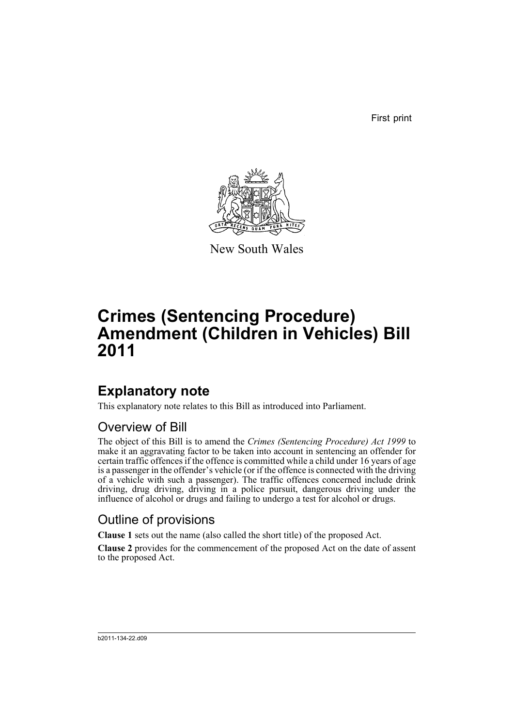First print



New South Wales

# **Crimes (Sentencing Procedure) Amendment (Children in Vehicles) Bill 2011**

## **Explanatory note**

This explanatory note relates to this Bill as introduced into Parliament.

### Overview of Bill

The object of this Bill is to amend the *Crimes (Sentencing Procedure) Act 1999* to make it an aggravating factor to be taken into account in sentencing an offender for certain traffic offences if the offence is committed while a child under 16 years of age is a passenger in the offender's vehicle (or if the offence is connected with the driving of a vehicle with such a passenger). The traffic offences concerned include drink driving, drug driving, driving in a police pursuit, dangerous driving under the influence of alcohol or drugs and failing to undergo a test for alcohol or drugs.

### Outline of provisions

**Clause 1** sets out the name (also called the short title) of the proposed Act.

**Clause 2** provides for the commencement of the proposed Act on the date of assent to the proposed Act.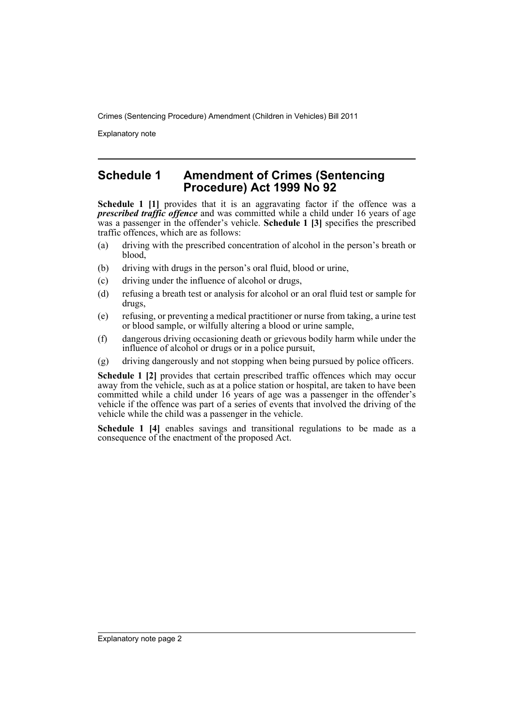Crimes (Sentencing Procedure) Amendment (Children in Vehicles) Bill 2011

Explanatory note

#### **Schedule 1 Amendment of Crimes (Sentencing Procedure) Act 1999 No 92**

**Schedule 1 [1]** provides that it is an aggravating factor if the offence was a *prescribed traffic offence* and was committed while a child under 16 years of age was a passenger in the offender's vehicle. **Schedule 1 [3]** specifies the prescribed traffic offences, which are as follows:

- (a) driving with the prescribed concentration of alcohol in the person's breath or blood,
- (b) driving with drugs in the person's oral fluid, blood or urine,
- (c) driving under the influence of alcohol or drugs,
- (d) refusing a breath test or analysis for alcohol or an oral fluid test or sample for drugs,
- (e) refusing, or preventing a medical practitioner or nurse from taking, a urine test or blood sample, or wilfully altering a blood or urine sample,
- (f) dangerous driving occasioning death or grievous bodily harm while under the influence of alcohol or drugs or in a police pursuit,
- (g) driving dangerously and not stopping when being pursued by police officers.

**Schedule 1 [2]** provides that certain prescribed traffic offences which may occur away from the vehicle, such as at a police station or hospital, are taken to have been committed while a child under 16 years of age was a passenger in the offender's vehicle if the offence was part of a series of events that involved the driving of the vehicle while the child was a passenger in the vehicle.

**Schedule 1 [4]** enables savings and transitional regulations to be made as a consequence of the enactment of the proposed Act.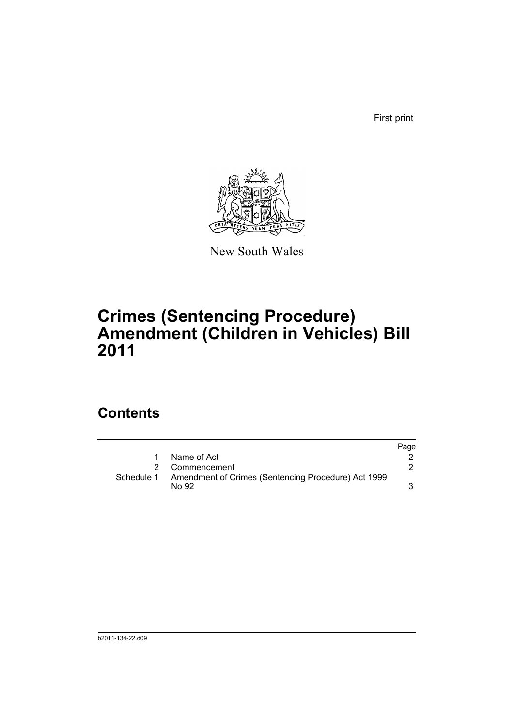First print



New South Wales

# **Crimes (Sentencing Procedure) Amendment (Children in Vehicles) Bill 2011**

### **Contents**

|            |                                                              | Page |
|------------|--------------------------------------------------------------|------|
| 1          | Name of Act                                                  |      |
|            | Commencement                                                 |      |
| Schedule 1 | Amendment of Crimes (Sentencing Procedure) Act 1999<br>No 92 |      |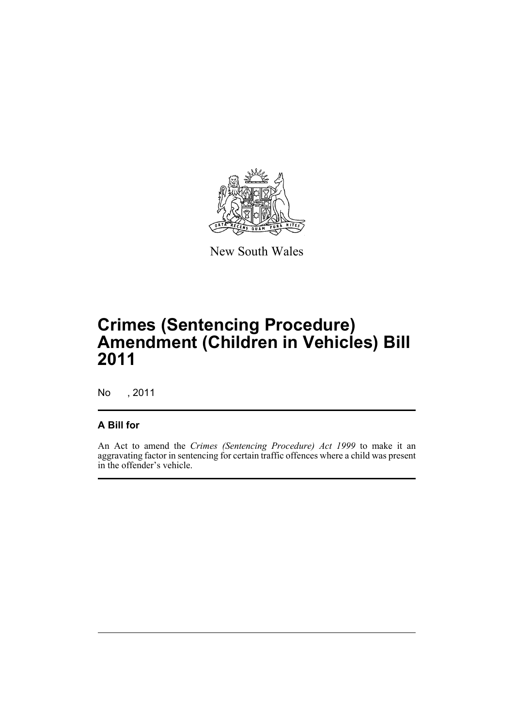

New South Wales

## **Crimes (Sentencing Procedure) Amendment (Children in Vehicles) Bill 2011**

No , 2011

#### **A Bill for**

An Act to amend the *Crimes (Sentencing Procedure) Act 1999* to make it an aggravating factor in sentencing for certain traffic offences where a child was present in the offender's vehicle.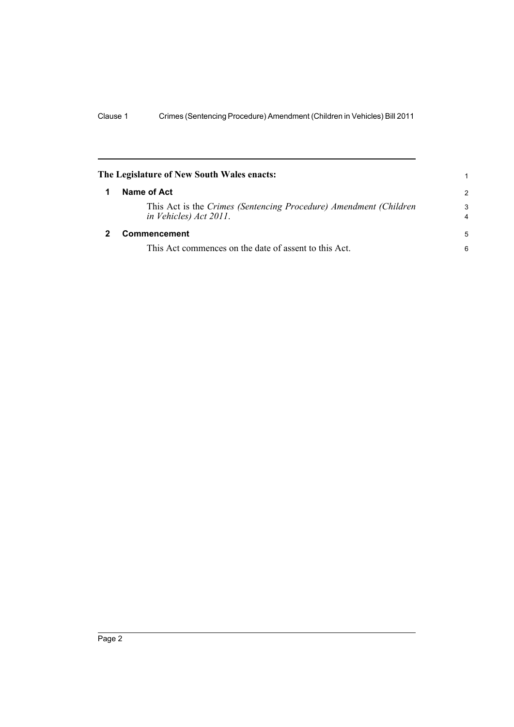<span id="page-5-1"></span><span id="page-5-0"></span>

| The Legislature of New South Wales enacts: |                                                                                             |                     |
|--------------------------------------------|---------------------------------------------------------------------------------------------|---------------------|
|                                            | Name of Act                                                                                 |                     |
|                                            | This Act is the Crimes (Sentencing Procedure) Amendment (Children<br>in Vehicles) Act 2011. | 3<br>$\overline{4}$ |
|                                            | Commencement                                                                                | 5                   |
|                                            | This Act commences on the date of assent to this Act.                                       | 6                   |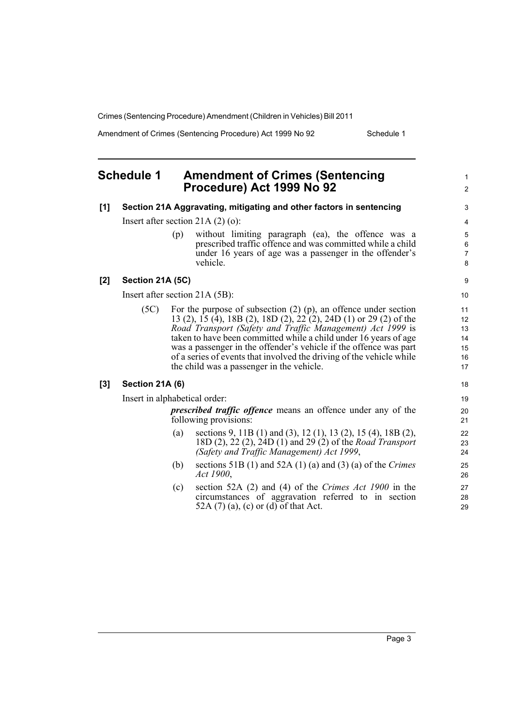Crimes (Sentencing Procedure) Amendment (Children in Vehicles) Bill 2011

Amendment of Crimes (Sentencing Procedure) Act 1999 No 92 Schedule 1

1 2

#### <span id="page-6-0"></span>**Schedule 1 Amendment of Crimes (Sentencing Procedure) Act 1999 No 92**

| [1] |                                     |     | Section 21A Aggravating, mitigating and other factors in sentencing                                                                                                                                                                                                                                                                                                                                                                                                    | 3                                      |
|-----|-------------------------------------|-----|------------------------------------------------------------------------------------------------------------------------------------------------------------------------------------------------------------------------------------------------------------------------------------------------------------------------------------------------------------------------------------------------------------------------------------------------------------------------|----------------------------------------|
|     | Insert after section 21A $(2)$ (o): |     |                                                                                                                                                                                                                                                                                                                                                                                                                                                                        |                                        |
|     |                                     | (p) | without limiting paragraph (ea), the offence was a<br>prescribed traffic offence and was committed while a child<br>under 16 years of age was a passenger in the offender's<br>vehicle.                                                                                                                                                                                                                                                                                | 5<br>$\,6\,$<br>$\overline{7}$<br>8    |
| [2] | Section 21A (5C)                    |     |                                                                                                                                                                                                                                                                                                                                                                                                                                                                        | 9                                      |
|     | Insert after section 21A (5B):      |     |                                                                                                                                                                                                                                                                                                                                                                                                                                                                        |                                        |
|     | (5C)                                |     | For the purpose of subsection $(2)$ $(p)$ , an offence under section<br>13 (2), 15 (4), 18B (2), 18D (2), 22 (2), 24D (1) or 29 (2) of the<br>Road Transport (Safety and Traffic Management) Act 1999 is<br>taken to have been committed while a child under 16 years of age<br>was a passenger in the offender's vehicle if the offence was part<br>of a series of events that involved the driving of the vehicle while<br>the child was a passenger in the vehicle. | 11<br>12<br>13<br>14<br>15<br>16<br>17 |
| [3] | <b>Section 21A (6)</b>              |     |                                                                                                                                                                                                                                                                                                                                                                                                                                                                        | 18                                     |
|     | Insert in alphabetical order:       |     |                                                                                                                                                                                                                                                                                                                                                                                                                                                                        | 19                                     |
|     |                                     |     | <i>prescribed traffic offence</i> means an offence under any of the<br>following provisions:                                                                                                                                                                                                                                                                                                                                                                           | 20<br>21                               |
|     |                                     | (a) | sections 9, 11B (1) and (3), 12 (1), 13 (2), 15 (4), 18B (2),<br>18D (2), 22 (2), 24D (1) and 29 (2) of the <i>Road Transport</i><br>(Safety and Traffic Management) Act 1999,                                                                                                                                                                                                                                                                                         | 22<br>23<br>24                         |
|     |                                     | (b) | sections 51B (1) and 52A (1) (a) and (3) (a) of the Crimes<br>Act 1900,                                                                                                                                                                                                                                                                                                                                                                                                | 25<br>26                               |
|     |                                     | (c) | section 52A $(2)$ and $(4)$ of the <i>Crimes Act 1900</i> in the<br>circumstances of aggravation referred to in section<br>52A $(7)$ (a), (c) or (d) of that Act.                                                                                                                                                                                                                                                                                                      | 27<br>28<br>29                         |

Page 3